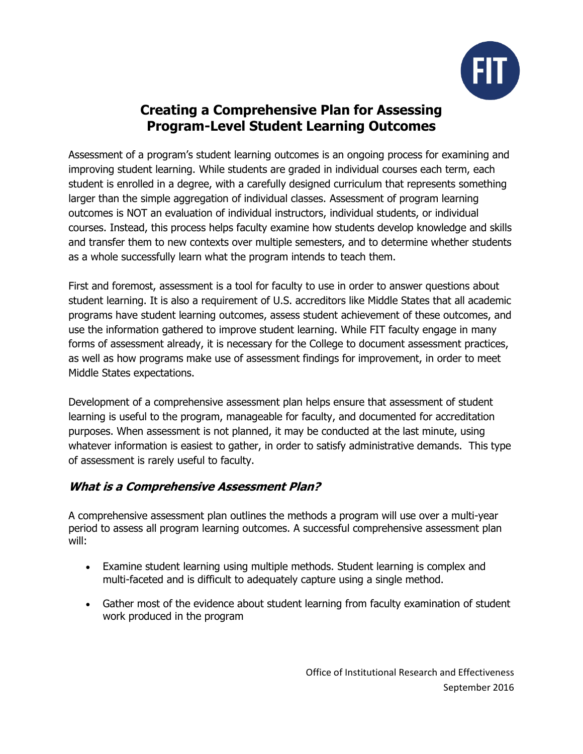

# **Creating a Comprehensive Plan for Assessing Program-Level Student Learning Outcomes**

Assessment of a program's student learning outcomes is an ongoing process for examining and improving student learning. While students are graded in individual courses each term, each student is enrolled in a degree, with a carefully designed curriculum that represents something larger than the simple aggregation of individual classes. Assessment of program learning outcomes is NOT an evaluation of individual instructors, individual students, or individual courses. Instead, this process helps faculty examine how students develop knowledge and skills and transfer them to new contexts over multiple semesters, and to determine whether students as a whole successfully learn what the program intends to teach them.

First and foremost, assessment is a tool for faculty to use in order to answer questions about student learning. It is also a requirement of U.S. accreditors like Middle States that all academic programs have student learning outcomes, assess student achievement of these outcomes, and use the information gathered to improve student learning. While FIT faculty engage in many forms of assessment already, it is necessary for the College to document assessment practices, as well as how programs make use of assessment findings for improvement, in order to meet Middle States expectations.

Development of a comprehensive assessment plan helps ensure that assessment of student learning is useful to the program, manageable for faculty, and documented for accreditation purposes. When assessment is not planned, it may be conducted at the last minute, using whatever information is easiest to gather, in order to satisfy administrative demands. This type of assessment is rarely useful to faculty.

### **What is a Comprehensive Assessment Plan?**

A comprehensive assessment plan outlines the methods a program will use over a multi-year period to assess all program learning outcomes. A successful comprehensive assessment plan will:

- Examine student learning using multiple methods. Student learning is complex and multi-faceted and is difficult to adequately capture using a single method.
- Gather most of the evidence about student learning from faculty examination of student work produced in the program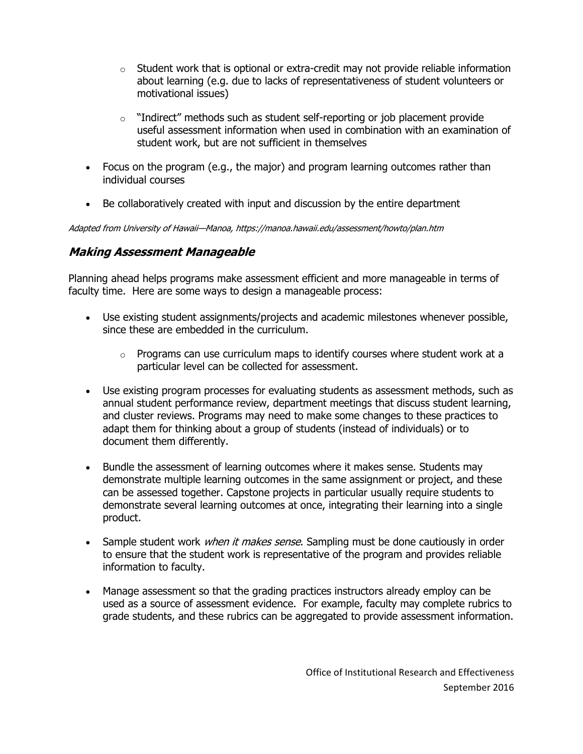- $\circ$  Student work that is optional or extra-credit may not provide reliable information about learning (e.g. due to lacks of representativeness of student volunteers or motivational issues)
- $\circ$  "Indirect" methods such as student self-reporting or job placement provide useful assessment information when used in combination with an examination of student work, but are not sufficient in themselves
- Focus on the program (e.g., the major) and program learning outcomes rather than individual courses
- Be collaboratively created with input and discussion by the entire department

Adapted from University of Hawaii—Manoa, https://manoa.hawaii.edu/assessment/howto/plan.htm

### **Making Assessment Manageable**

Planning ahead helps programs make assessment efficient and more manageable in terms of faculty time. Here are some ways to design a manageable process:

- Use existing student assignments/projects and academic milestones whenever possible, since these are embedded in the curriculum.
	- $\circ$  Programs can use curriculum maps to identify courses where student work at a particular level can be collected for assessment.
- Use existing program processes for evaluating students as assessment methods, such as annual student performance review, department meetings that discuss student learning, and cluster reviews. Programs may need to make some changes to these practices to adapt them for thinking about a group of students (instead of individuals) or to document them differently.
- Bundle the assessment of learning outcomes where it makes sense. Students may demonstrate multiple learning outcomes in the same assignment or project, and these can be assessed together. Capstone projects in particular usually require students to demonstrate several learning outcomes at once, integrating their learning into a single product.
- Sample student work *when it makes sense*. Sampling must be done cautiously in order to ensure that the student work is representative of the program and provides reliable information to faculty.
- Manage assessment so that the grading practices instructors already employ can be used as a source of assessment evidence. For example, faculty may complete rubrics to grade students, and these rubrics can be aggregated to provide assessment information.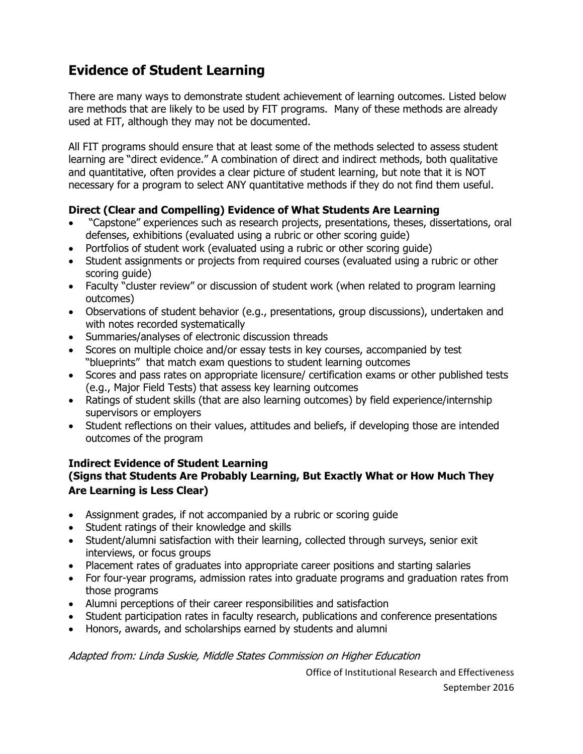# **Evidence of Student Learning**

There are many ways to demonstrate student achievement of learning outcomes. Listed below are methods that are likely to be used by FIT programs. Many of these methods are already used at FIT, although they may not be documented.

All FIT programs should ensure that at least some of the methods selected to assess student learning are "direct evidence." A combination of direct and indirect methods, both qualitative and quantitative, often provides a clear picture of student learning, but note that it is NOT necessary for a program to select ANY quantitative methods if they do not find them useful.

#### **Direct (Clear and Compelling) Evidence of What Students Are Learning**

- "Capstone" experiences such as research projects, presentations, theses, dissertations, oral defenses, exhibitions (evaluated using a rubric or other scoring guide)
- Portfolios of student work (evaluated using a rubric or other scoring quide)
- Student assignments or projects from required courses (evaluated using a rubric or other scoring guide)
- Faculty "cluster review" or discussion of student work (when related to program learning outcomes)
- Observations of student behavior (e.g., presentations, group discussions), undertaken and with notes recorded systematically
- Summaries/analyses of electronic discussion threads
- Scores on multiple choice and/or essay tests in key courses, accompanied by test "blueprints" that match exam questions to student learning outcomes
- Scores and pass rates on appropriate licensure/ certification exams or other published tests (e.g., Major Field Tests) that assess key learning outcomes
- Ratings of student skills (that are also learning outcomes) by field experience/internship supervisors or employers
- Student reflections on their values, attitudes and beliefs, if developing those are intended outcomes of the program

# **Indirect Evidence of Student Learning**

#### **(Signs that Students Are Probably Learning, But Exactly What or How Much They Are Learning is Less Clear)**

- Assignment grades, if not accompanied by a rubric or scoring guide
- Student ratings of their knowledge and skills
- Student/alumni satisfaction with their learning, collected through surveys, senior exit interviews, or focus groups
- Placement rates of graduates into appropriate career positions and starting salaries
- For four-year programs, admission rates into graduate programs and graduation rates from those programs
- Alumni perceptions of their career responsibilities and satisfaction
- Student participation rates in faculty research, publications and conference presentations
- Honors, awards, and scholarships earned by students and alumni

Adapted from: Linda Suskie, Middle States Commission on Higher Education

Office of Institutional Research and Effectiveness September 2016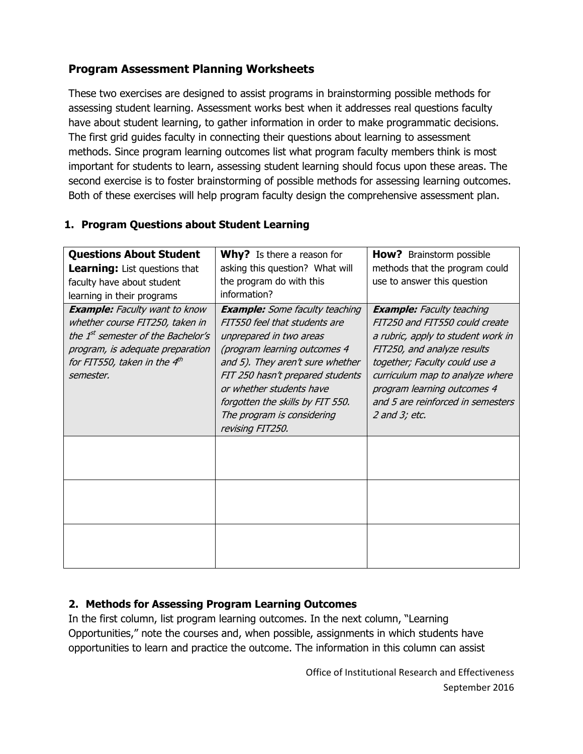## **Program Assessment Planning Worksheets**

These two exercises are designed to assist programs in brainstorming possible methods for assessing student learning. Assessment works best when it addresses real questions faculty have about student learning, to gather information in order to make programmatic decisions. The first grid guides faculty in connecting their questions about learning to assessment methods. Since program learning outcomes list what program faculty members think is most important for students to learn, assessing student learning should focus upon these areas. The second exercise is to foster brainstorming of possible methods for assessing learning outcomes. Both of these exercises will help program faculty design the comprehensive assessment plan.

#### **1. Program Questions about Student Learning**

| <b>Questions About Student</b>                                                                                                                                                                             | <b>Why?</b> Is there a reason for                                                                                                                                                                                                                                                                                           | <b>How?</b> Brainstorm possible                                                                                                                                                                                                                                                                       |  |
|------------------------------------------------------------------------------------------------------------------------------------------------------------------------------------------------------------|-----------------------------------------------------------------------------------------------------------------------------------------------------------------------------------------------------------------------------------------------------------------------------------------------------------------------------|-------------------------------------------------------------------------------------------------------------------------------------------------------------------------------------------------------------------------------------------------------------------------------------------------------|--|
| <b>Learning:</b> List questions that                                                                                                                                                                       | asking this question? What will                                                                                                                                                                                                                                                                                             | methods that the program could                                                                                                                                                                                                                                                                        |  |
| faculty have about student                                                                                                                                                                                 | the program do with this                                                                                                                                                                                                                                                                                                    | use to answer this question                                                                                                                                                                                                                                                                           |  |
| learning in their programs                                                                                                                                                                                 | information?                                                                                                                                                                                                                                                                                                                |                                                                                                                                                                                                                                                                                                       |  |
| <b>Example:</b> Faculty want to know<br>whether course FIT250, taken in<br>the 1 <sup>st</sup> semester of the Bachelor's<br>program, is adequate preparation<br>for FIT550, taken in the 4th<br>semester. | <b>Example:</b> Some faculty teaching<br>FIT550 feel that students are<br>unprepared in two areas<br>(program learning outcomes 4<br>and 5). They aren't sure whether<br>FIT 250 hasn't prepared students<br>or whether students have<br>forgotten the skills by FIT 550.<br>The program is considering<br>revising FIT250. | <b>Example:</b> Faculty teaching<br>FIT250 and FIT550 could create<br>a rubric, apply to student work in<br>FIT250, and analyze results<br>together; Faculty could use a<br>curriculum map to analyze where<br>program learning outcomes 4<br>and 5 are reinforced in semesters<br>$2$ and $3$ ; etc. |  |
|                                                                                                                                                                                                            |                                                                                                                                                                                                                                                                                                                             |                                                                                                                                                                                                                                                                                                       |  |
|                                                                                                                                                                                                            |                                                                                                                                                                                                                                                                                                                             |                                                                                                                                                                                                                                                                                                       |  |
|                                                                                                                                                                                                            |                                                                                                                                                                                                                                                                                                                             |                                                                                                                                                                                                                                                                                                       |  |

### **2. Methods for Assessing Program Learning Outcomes**

In the first column, list program learning outcomes. In the next column, "Learning Opportunities," note the courses and, when possible, assignments in which students have opportunities to learn and practice the outcome. The information in this column can assist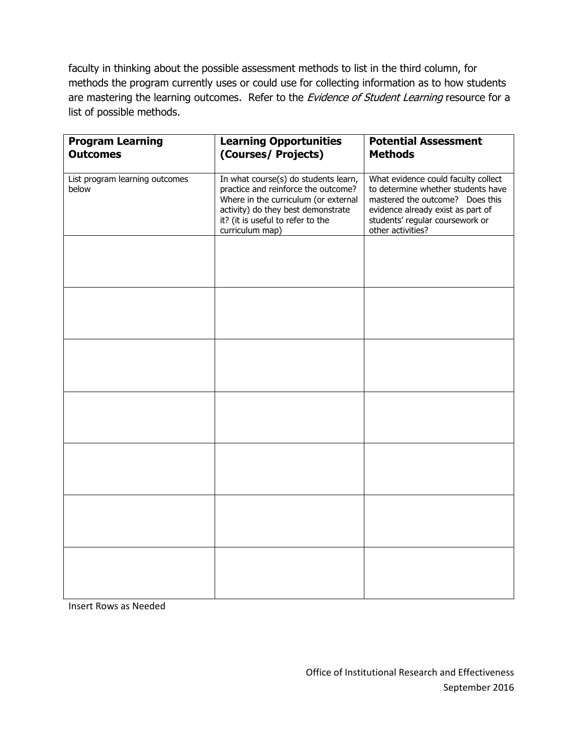faculty in thinking about the possible assessment methods to list in the third column, for methods the program currently uses or could use for collecting information as to how students are mastering the learning outcomes. Refer to the Evidence of Student Learning resource for a list of possible methods.

| <b>Program Learning</b><br><b>Outcomes</b> | <b>Learning Opportunities</b><br>(Courses/ Projects)                                                                                                                                                              | <b>Potential Assessment</b><br><b>Methods</b>                                                                                                                                                             |
|--------------------------------------------|-------------------------------------------------------------------------------------------------------------------------------------------------------------------------------------------------------------------|-----------------------------------------------------------------------------------------------------------------------------------------------------------------------------------------------------------|
| List program learning outcomes<br>below    | In what course(s) do students learn,<br>practice and reinforce the outcome?<br>Where in the curriculum (or external<br>activity) do they best demonstrate<br>it? (it is useful to refer to the<br>curriculum map) | What evidence could faculty collect<br>to determine whether students have<br>mastered the outcome? Does this<br>evidence already exist as part of<br>students' regular coursework or<br>other activities? |
|                                            |                                                                                                                                                                                                                   |                                                                                                                                                                                                           |
|                                            |                                                                                                                                                                                                                   |                                                                                                                                                                                                           |
|                                            |                                                                                                                                                                                                                   |                                                                                                                                                                                                           |
|                                            |                                                                                                                                                                                                                   |                                                                                                                                                                                                           |
|                                            |                                                                                                                                                                                                                   |                                                                                                                                                                                                           |
|                                            |                                                                                                                                                                                                                   |                                                                                                                                                                                                           |
|                                            |                                                                                                                                                                                                                   |                                                                                                                                                                                                           |

Insert Rows as Needed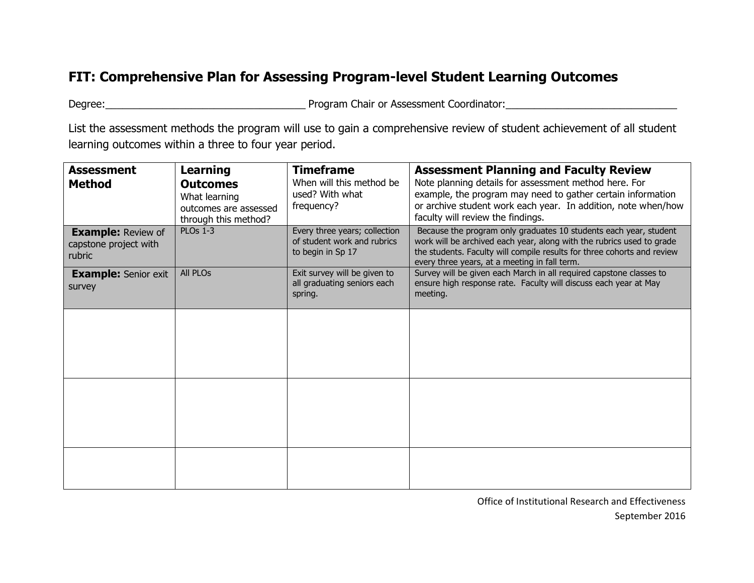# **FIT: Comprehensive Plan for Assessing Program-level Student Learning Outcomes**

Degree:\_\_\_\_\_\_\_\_\_\_\_\_\_\_\_\_\_\_\_\_\_\_\_\_\_\_\_\_\_\_\_\_\_\_\_ Program Chair or Assessment Coordinator:\_\_\_\_\_\_\_\_\_\_\_\_\_\_\_\_\_\_\_\_\_\_\_\_\_\_\_\_\_\_

List the assessment methods the program will use to gain a comprehensive review of student achievement of all student learning outcomes within a three to four year period.

| <b>Assessment</b><br><b>Method</b>                           | Learning<br><b>Outcomes</b><br>What learning<br>outcomes are assessed<br>through this method? | Timeframe<br>When will this method be<br>used? With what<br>frequency?            | <b>Assessment Planning and Faculty Review</b><br>Note planning details for assessment method here. For<br>example, the program may need to gather certain information<br>or archive student work each year. In addition, note when/how<br>faculty will review the findings. |
|--------------------------------------------------------------|-----------------------------------------------------------------------------------------------|-----------------------------------------------------------------------------------|-----------------------------------------------------------------------------------------------------------------------------------------------------------------------------------------------------------------------------------------------------------------------------|
| <b>Example: Review of</b><br>capstone project with<br>rubric | <b>PLOs 1-3</b>                                                                               | Every three years; collection<br>of student work and rubrics<br>to begin in Sp 17 | Because the program only graduates 10 students each year, student<br>work will be archived each year, along with the rubrics used to grade<br>the students. Faculty will compile results for three cohorts and review<br>every three years, at a meeting in fall term.      |
| <b>Example:</b> Senior exit<br>survey                        | <b>All PLOs</b>                                                                               | Exit survey will be given to<br>all graduating seniors each<br>spring.            | Survey will be given each March in all required capstone classes to<br>ensure high response rate. Faculty will discuss each year at May<br>meeting.                                                                                                                         |
|                                                              |                                                                                               |                                                                                   |                                                                                                                                                                                                                                                                             |
|                                                              |                                                                                               |                                                                                   |                                                                                                                                                                                                                                                                             |
|                                                              |                                                                                               |                                                                                   |                                                                                                                                                                                                                                                                             |
|                                                              |                                                                                               |                                                                                   |                                                                                                                                                                                                                                                                             |
|                                                              |                                                                                               |                                                                                   |                                                                                                                                                                                                                                                                             |

Office of Institutional Research and Effectiveness September 2016